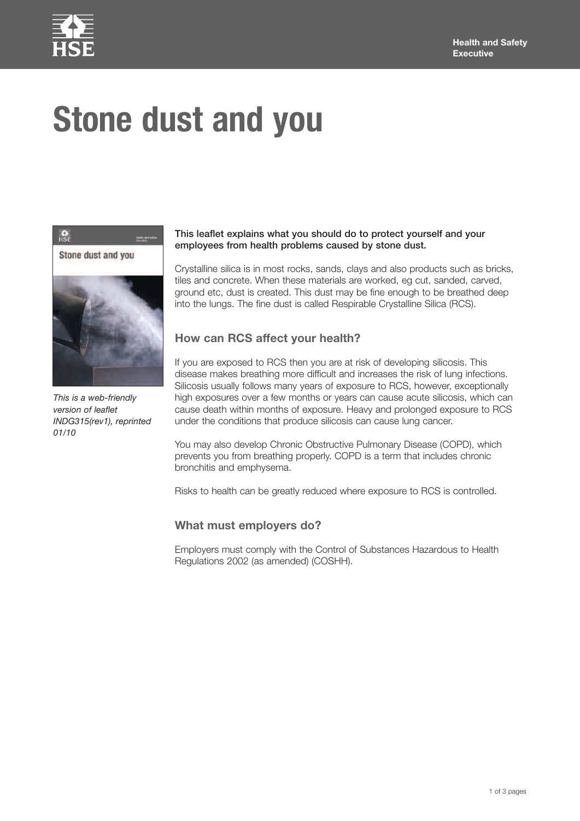

# **Stone dust and you**



*This is* a web-friendly *version of leaflet INDG315(rev1), reprinted 01/10*

### **This leaflet explains what you should do to protect yourself and your employees from health problems caused by stone dust.**

Crystalline silica is in most rocks, sands, clays and also products such as bricks, tiles and concrete. When these materials are worked, eg cut, sanded, carved, ground etc, dust is created. This dust may be fine enough to be breathed deep into the lungs. The fine dust is called Respirable Crystalline Silica (RCS).

## **How can RCS affect your health?**

If you are exposed to RCS then you are at risk of developing silicosis. This disease makes breathing more difficult and increases the risk of lung infections. Silicosis usually follows many years of exposure to RCS, however, exceptionally high exposures over a few months or years can cause acute silicosis, which can cause death within months of exposure. Heavy and prolonged exposure to RCS under the conditions that produce silicosis can cause lung cancer.

You may also develop Chronic Obstructive Pulmonary Disease (COPD), which prevents you from breathing properly. COPD is a term that includes chronic bronchitis and emphysema.

Risks to health can be greatly reduced where exposure to RCS is controlled.

## **What must employers do?**

Employers must comply with the Control of Substances Hazardous to Health Regulations 2002 (as amended) (COSHH).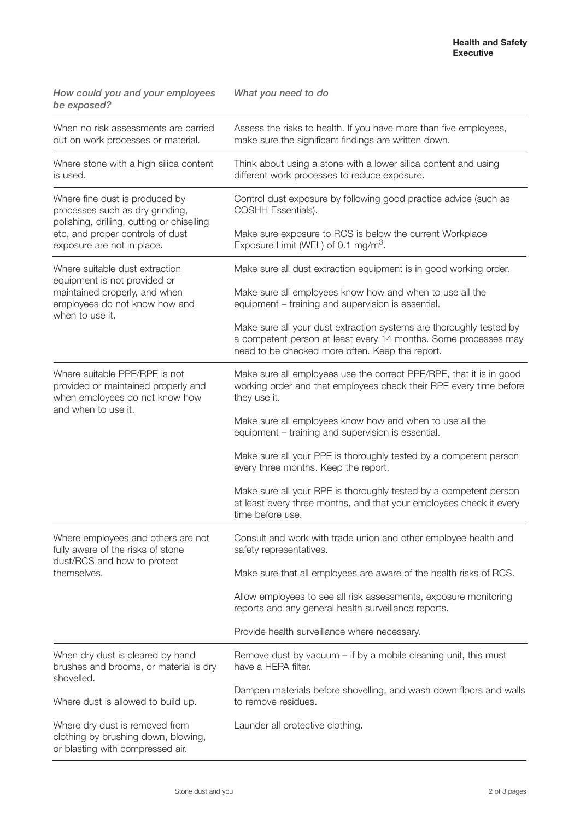| How could you and your employees<br>be exposed?                                                                                                                                   | What you need to do                                                                                                                                                                       |
|-----------------------------------------------------------------------------------------------------------------------------------------------------------------------------------|-------------------------------------------------------------------------------------------------------------------------------------------------------------------------------------------|
| When no risk assessments are carried<br>out on work processes or material.                                                                                                        | Assess the risks to health. If you have more than five employees,<br>make sure the significant findings are written down.                                                                 |
| Where stone with a high silica content<br>is used.                                                                                                                                | Think about using a stone with a lower silica content and using<br>different work processes to reduce exposure.                                                                           |
| Where fine dust is produced by<br>processes such as dry grinding,<br>polishing, drilling, cutting or chiselling<br>etc, and proper controls of dust<br>exposure are not in place. | Control dust exposure by following good practice advice (such as<br>COSHH Essentials).                                                                                                    |
|                                                                                                                                                                                   | Make sure exposure to RCS is below the current Workplace<br>Exposure Limit (WEL) of 0.1 mg/m <sup>3</sup> .                                                                               |
| Where suitable dust extraction<br>equipment is not provided or<br>maintained properly, and when<br>employees do not know how and<br>when to use it.                               | Make sure all dust extraction equipment is in good working order.                                                                                                                         |
|                                                                                                                                                                                   | Make sure all employees know how and when to use all the<br>equipment - training and supervision is essential.                                                                            |
|                                                                                                                                                                                   | Make sure all your dust extraction systems are thoroughly tested by<br>a competent person at least every 14 months. Some processes may<br>need to be checked more often. Keep the report. |
| Where suitable PPE/RPE is not<br>provided or maintained properly and<br>when employees do not know how<br>and when to use it.                                                     | Make sure all employees use the correct PPE/RPE, that it is in good<br>working order and that employees check their RPE every time before<br>they use it.                                 |
|                                                                                                                                                                                   | Make sure all employees know how and when to use all the<br>equipment - training and supervision is essential.                                                                            |
|                                                                                                                                                                                   | Make sure all your PPE is thoroughly tested by a competent person<br>every three months. Keep the report.                                                                                 |
|                                                                                                                                                                                   | Make sure all your RPE is thoroughly tested by a competent person<br>at least every three months, and that your employees check it every<br>time before use.                              |
| Where employees and others are not<br>fully aware of the risks of stone<br>dust/RCS and how to protect<br>themselves.                                                             | Consult and work with trade union and other employee health and<br>safety representatives.                                                                                                |
|                                                                                                                                                                                   | Make sure that all employees are aware of the health risks of RCS.                                                                                                                        |
|                                                                                                                                                                                   | Allow employees to see all risk assessments, exposure monitoring<br>reports and any general health surveillance reports.                                                                  |
|                                                                                                                                                                                   | Provide health surveillance where necessary.                                                                                                                                              |
| When dry dust is cleared by hand<br>brushes and brooms, or material is dry<br>shovelled.                                                                                          | Remove dust by vacuum $-$ if by a mobile cleaning unit, this must<br>have a HEPA filter.                                                                                                  |
| Where dust is allowed to build up.                                                                                                                                                | Dampen materials before shovelling, and wash down floors and walls<br>to remove residues.                                                                                                 |
| Where dry dust is removed from<br>clothing by brushing down, blowing,<br>or blasting with compressed air.                                                                         | Launder all protective clothing.                                                                                                                                                          |